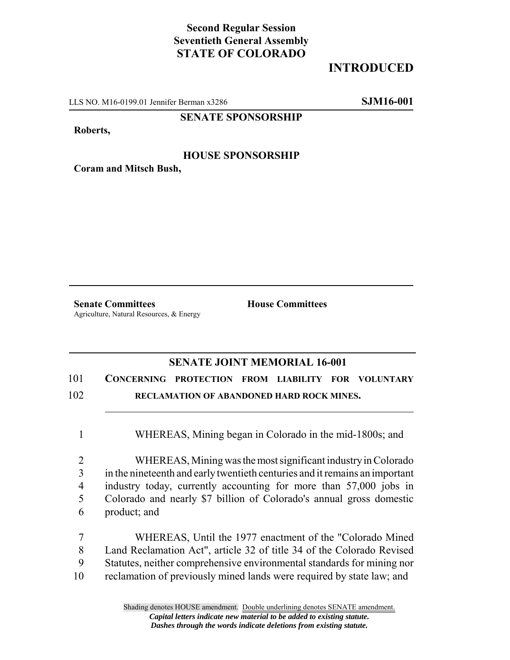## **Second Regular Session Seventieth General Assembly STATE OF COLORADO**

# **INTRODUCED**

LLS NO. M16-0199.01 Jennifer Berman x3286 **SJM16-001**

#### **SENATE SPONSORSHIP**

**Roberts,**

#### **HOUSE SPONSORSHIP**

**Coram and Mitsch Bush,**

**Senate Committees House Committees** Agriculture, Natural Resources, & Energy

### **SENATE JOINT MEMORIAL 16-001**

### 101 **CONCERNING PROTECTION FROM LIABILITY FOR VOLUNTARY** 102 **RECLAMATION OF ABANDONED HARD ROCK MINES.**

1 WHEREAS, Mining began in Colorado in the mid-1800s; and

 WHEREAS, Mining was the most significant industry in Colorado in the nineteenth and early twentieth centuries and it remains an important industry today, currently accounting for more than 57,000 jobs in Colorado and nearly \$7 billion of Colorado's annual gross domestic product; and

 WHEREAS, Until the 1977 enactment of the "Colorado Mined Land Reclamation Act", article 32 of title 34 of the Colorado Revised Statutes, neither comprehensive environmental standards for mining nor reclamation of previously mined lands were required by state law; and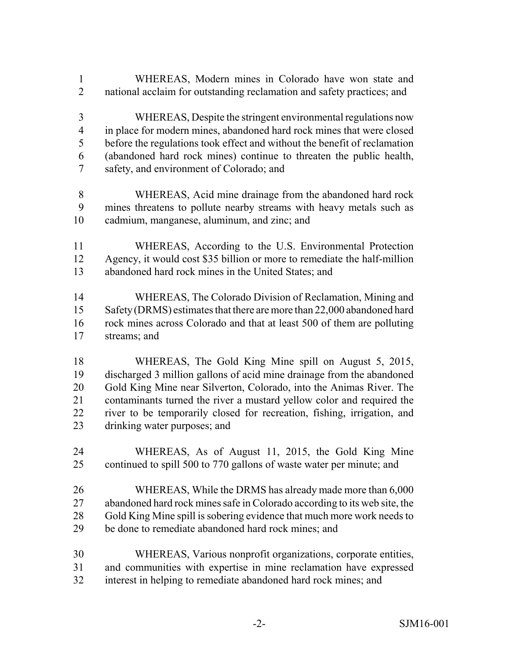- WHEREAS, Modern mines in Colorado have won state and national acclaim for outstanding reclamation and safety practices; and
- WHEREAS, Despite the stringent environmental regulations now in place for modern mines, abandoned hard rock mines that were closed before the regulations took effect and without the benefit of reclamation (abandoned hard rock mines) continue to threaten the public health, safety, and environment of Colorado; and
- WHEREAS, Acid mine drainage from the abandoned hard rock mines threatens to pollute nearby streams with heavy metals such as cadmium, manganese, aluminum, and zinc; and
- WHEREAS, According to the U.S. Environmental Protection Agency, it would cost \$35 billion or more to remediate the half-million abandoned hard rock mines in the United States; and
- WHEREAS, The Colorado Division of Reclamation, Mining and 15 Safety (DRMS) estimates that there are more than 22,000 abandoned hard rock mines across Colorado and that at least 500 of them are polluting streams; and
- WHEREAS, The Gold King Mine spill on August 5, 2015, discharged 3 million gallons of acid mine drainage from the abandoned Gold King Mine near Silverton, Colorado, into the Animas River. The contaminants turned the river a mustard yellow color and required the river to be temporarily closed for recreation, fishing, irrigation, and drinking water purposes; and
- WHEREAS, As of August 11, 2015, the Gold King Mine continued to spill 500 to 770 gallons of waste water per minute; and
- WHEREAS, While the DRMS has already made more than 6,000 abandoned hard rock mines safe in Colorado according to its web site, the Gold King Mine spill is sobering evidence that much more work needs to be done to remediate abandoned hard rock mines; and
- WHEREAS, Various nonprofit organizations, corporate entities, and communities with expertise in mine reclamation have expressed
- interest in helping to remediate abandoned hard rock mines; and